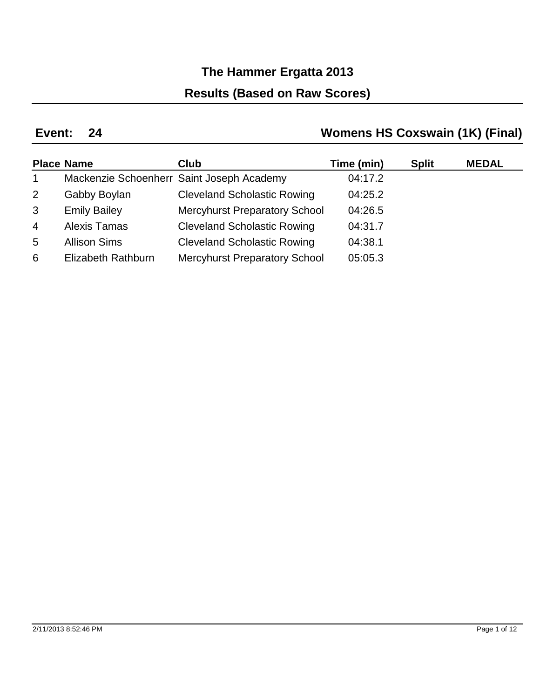## **Results (Based on Raw Scores)**

### **24 Event:**

## **Womens HS Coxswain (1K) (Final)**

|                | <b>Place Name</b>         | <b>Club</b>                               | Time (min) | <b>Split</b> | <b>MEDAL</b> |
|----------------|---------------------------|-------------------------------------------|------------|--------------|--------------|
| $\mathbf{1}$   |                           | Mackenzie Schoenherr Saint Joseph Academy | 04:17.2    |              |              |
| 2              | Gabby Boylan              | <b>Cleveland Scholastic Rowing</b>        | 04:25.2    |              |              |
| 3              | <b>Emily Bailey</b>       | <b>Mercyhurst Preparatory School</b>      | 04:26.5    |              |              |
| $\overline{4}$ | <b>Alexis Tamas</b>       | <b>Cleveland Scholastic Rowing</b>        | 04:31.7    |              |              |
| 5              | <b>Allison Sims</b>       | <b>Cleveland Scholastic Rowing</b>        | 04:38.1    |              |              |
| 6              | <b>Elizabeth Rathburn</b> | <b>Mercyhurst Preparatory School</b>      | 05:05.3    |              |              |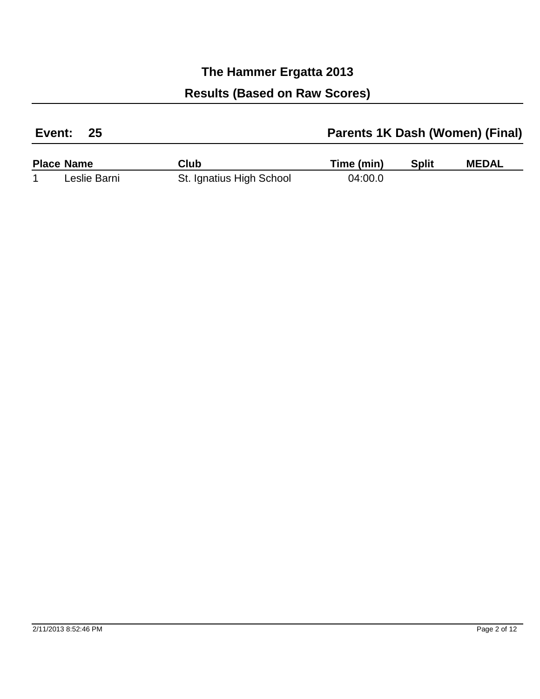| 25<br>Event: |                   |                          | Parents 1K Dash (Women) (Final) |              |              |
|--------------|-------------------|--------------------------|---------------------------------|--------------|--------------|
|              | <b>Place Name</b> | Club                     | Time (min)                      | <b>Split</b> | <b>MEDAL</b> |
|              | Leslie Barni      | St. Ignatius High School | 04:00.0                         |              |              |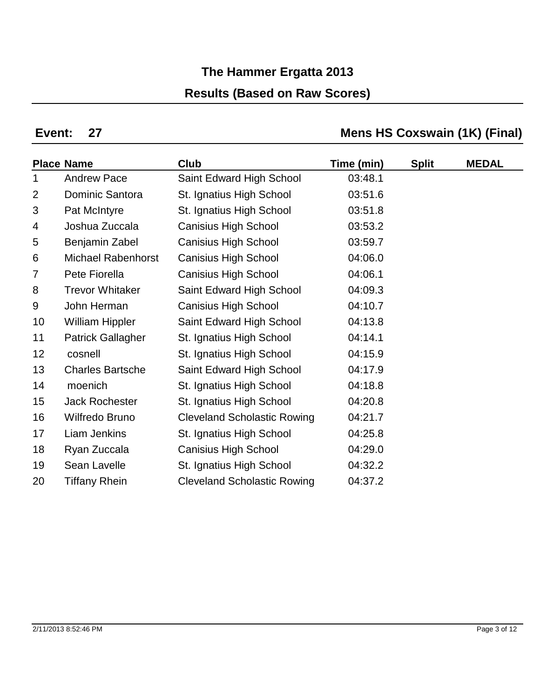## **The Hammer Ergatta 2013 Results (Based on Raw Scores)**

### **Event:**

## **Mens HS Coxswain (1K) (Final)**

|                | <b>Place Name</b>         | <b>Club</b>                        | Time (min) | <b>Split</b> | <b>MEDAL</b> |
|----------------|---------------------------|------------------------------------|------------|--------------|--------------|
| 1              | <b>Andrew Pace</b>        | Saint Edward High School           | 03:48.1    |              |              |
| 2              | Dominic Santora           | St. Ignatius High School           | 03:51.6    |              |              |
| 3              | Pat McIntyre              | St. Ignatius High School           | 03:51.8    |              |              |
| 4              | Joshua Zuccala            | <b>Canisius High School</b>        | 03:53.2    |              |              |
| 5              | Benjamin Zabel            | <b>Canisius High School</b>        | 03:59.7    |              |              |
| 6              | <b>Michael Rabenhorst</b> | <b>Canisius High School</b>        | 04:06.0    |              |              |
| $\overline{7}$ | Pete Fiorella             | <b>Canisius High School</b>        | 04:06.1    |              |              |
| 8              | <b>Trevor Whitaker</b>    | Saint Edward High School           | 04:09.3    |              |              |
| 9              | John Herman               | <b>Canisius High School</b>        | 04:10.7    |              |              |
| 10             | <b>William Hippler</b>    | Saint Edward High School           | 04:13.8    |              |              |
| 11             | <b>Patrick Gallagher</b>  | St. Ignatius High School           | 04:14.1    |              |              |
| 12             | cosnell                   | St. Ignatius High School           | 04:15.9    |              |              |
| 13             | <b>Charles Bartsche</b>   | Saint Edward High School           | 04:17.9    |              |              |
| 14             | moenich                   | St. Ignatius High School           | 04:18.8    |              |              |
| 15             | <b>Jack Rochester</b>     | St. Ignatius High School           | 04:20.8    |              |              |
| 16             | Wilfredo Bruno            | <b>Cleveland Scholastic Rowing</b> | 04:21.7    |              |              |
| 17             | Liam Jenkins              | St. Ignatius High School           | 04:25.8    |              |              |
| 18             | Ryan Zuccala              | <b>Canisius High School</b>        | 04:29.0    |              |              |
| 19             | Sean Lavelle              | St. Ignatius High School           | 04:32.2    |              |              |
| 20             | <b>Tiffany Rhein</b>      | <b>Cleveland Scholastic Rowing</b> | 04:37.2    |              |              |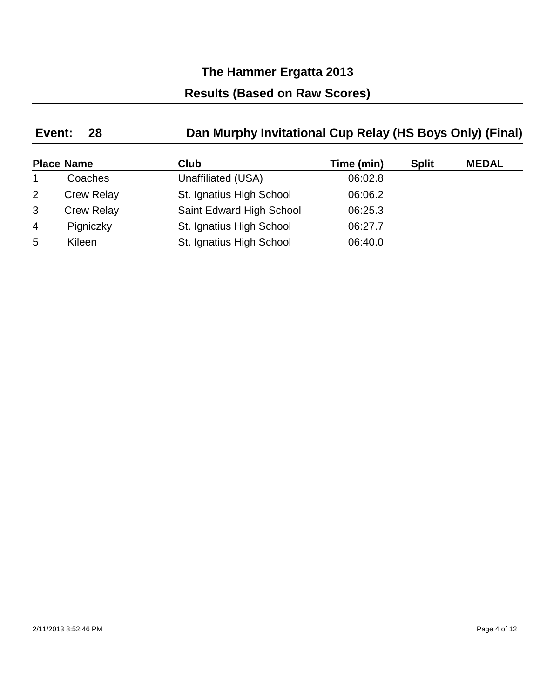## **The Hammer Ergatta 2013 Results (Based on Raw Scores)**

#### **28 Event: Dan Murphy Invitational Cup Relay (HS Boys Only) (Final)**

|                | <b>Place Name</b> | <b>Club</b>              | Time (min) | <b>Split</b> | <b>MEDAL</b> |
|----------------|-------------------|--------------------------|------------|--------------|--------------|
|                | Coaches           | Unaffiliated (USA)       | 06:02.8    |              |              |
| $\overline{2}$ | <b>Crew Relay</b> | St. Ignatius High School | 06:06.2    |              |              |
| 3              | <b>Crew Relay</b> | Saint Edward High School | 06:25.3    |              |              |
| $\overline{4}$ | Pigniczky         | St. Ignatius High School | 06:27.7    |              |              |
| 5              | Kileen            | St. Ignatius High School | 06:40.0    |              |              |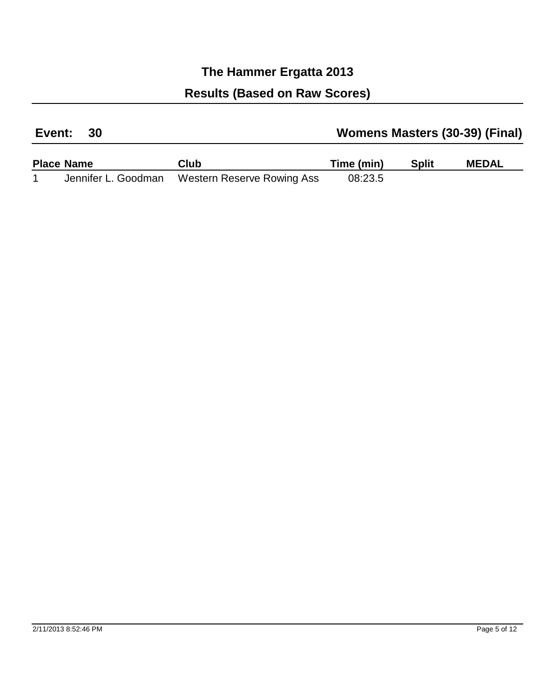| Event: 30 | <b>Womens Masters (30-39) (Final)</b> |
|-----------|---------------------------------------|
|           |                                       |

| <b>Place Name</b> | Club                                           | Time (min) | <b>Split</b> | <b>MEDAL</b> |
|-------------------|------------------------------------------------|------------|--------------|--------------|
|                   | Jennifer L. Goodman Western Reserve Rowing Ass | 08:23.5    |              |              |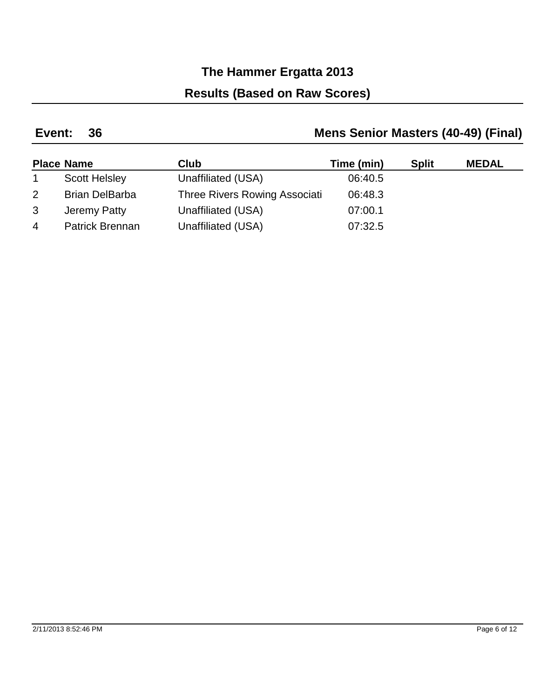### **Results (Based on Raw Scores)**

#### **36 Event: Mens Senior Masters (40-49) (Final)**

|                | <b>Place Name</b>      | Club                          | Time (min) | <b>Split</b> | <b>MEDAL</b> |
|----------------|------------------------|-------------------------------|------------|--------------|--------------|
|                | <b>Scott Helsley</b>   | Unaffiliated (USA)            | 06:40.5    |              |              |
| 2              | <b>Brian DelBarba</b>  | Three Rivers Rowing Associati | 06:48.3    |              |              |
| 3              | Jeremy Patty           | Unaffiliated (USA)            | 07:00.1    |              |              |
| $\overline{4}$ | <b>Patrick Brennan</b> | Unaffiliated (USA)            | 07:32.5    |              |              |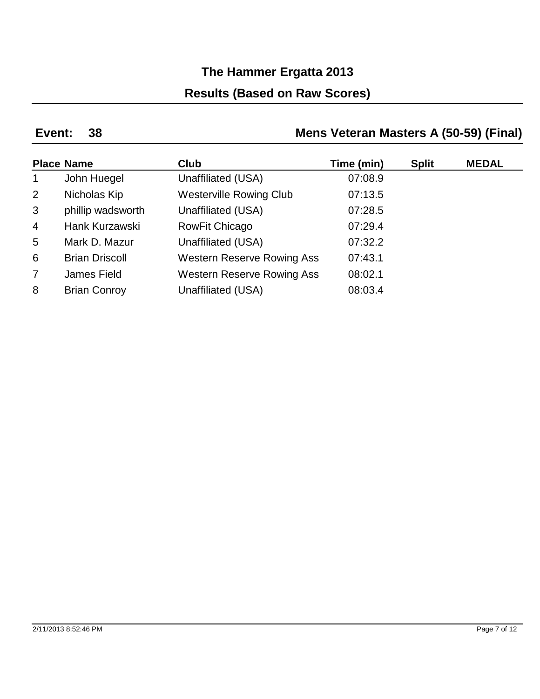## **The Hammer Ergatta 2013 Results (Based on Raw Scores)**

### **38 Event:**

### **Mens Veteran Masters A (50-59) (Final)**

|                 | <b>Place Name</b>     | <b>Club</b>                       | Time (min) | <b>Split</b> | <b>MEDAL</b> |
|-----------------|-----------------------|-----------------------------------|------------|--------------|--------------|
| $\mathbf{1}$    | John Huegel           | Unaffiliated (USA)                | 07:08.9    |              |              |
| $\overline{2}$  | Nicholas Kip          | <b>Westerville Rowing Club</b>    | 07:13.5    |              |              |
| 3               | phillip wadsworth     | Unaffiliated (USA)                | 07:28.5    |              |              |
| $\overline{4}$  | Hank Kurzawski        | <b>RowFit Chicago</b>             | 07:29.4    |              |              |
| $5\overline{)}$ | Mark D. Mazur         | Unaffiliated (USA)                | 07:32.2    |              |              |
| 6               | <b>Brian Driscoll</b> | <b>Western Reserve Rowing Ass</b> | 07:43.1    |              |              |
| $\overline{7}$  | James Field           | <b>Western Reserve Rowing Ass</b> | 08:02.1    |              |              |
| 8               | <b>Brian Conroy</b>   | Unaffiliated (USA)                | 08:03.4    |              |              |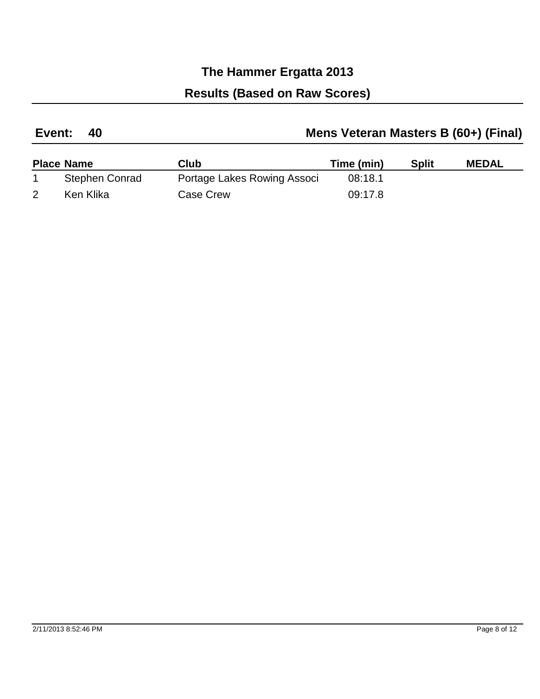| Mens Veteran Masters B (60+) (Final)<br>Event: 40 |  |
|---------------------------------------------------|--|
|---------------------------------------------------|--|

| <b>Place Name</b> | Club                        | Time (min) | <b>Split</b> | <b>MEDAL</b> |
|-------------------|-----------------------------|------------|--------------|--------------|
| Stephen Conrad    | Portage Lakes Rowing Associ | 08:18.1    |              |              |
| Ken Klika         | Case Crew                   | 09:17.8    |              |              |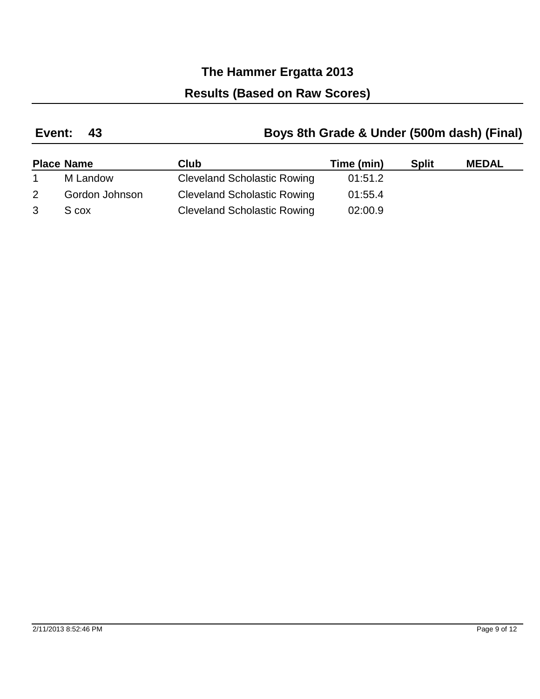### **Results (Based on Raw Scores)**

#### **43 Event: Boys 8th Grade & Under (500m dash) (Final)**

|   | <b>Place Name</b> | <b>Club</b>                        | Time (min) | <b>Split</b> | <b>MEDAL</b> |
|---|-------------------|------------------------------------|------------|--------------|--------------|
|   | M Landow          | <b>Cleveland Scholastic Rowing</b> | 01:51.2    |              |              |
|   | Gordon Johnson    | <b>Cleveland Scholastic Rowing</b> | 01:55.4    |              |              |
| 3 | S cox             | <b>Cleveland Scholastic Rowing</b> | 02:00.9    |              |              |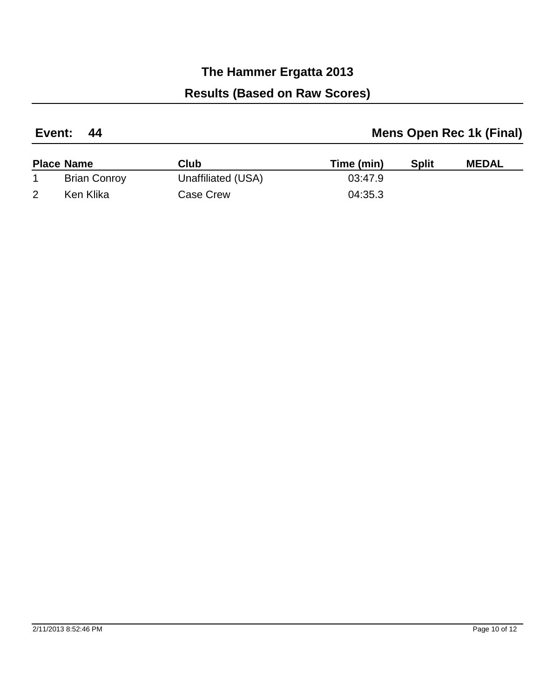| Event: 44 | <b>Mens Open Rec 1k (Final)</b> |
|-----------|---------------------------------|
|           |                                 |

| <b>Place Name</b>   | Club               | Time (min) | <b>Split</b> | <b>MEDAL</b> |
|---------------------|--------------------|------------|--------------|--------------|
| <b>Brian Conroy</b> | Unaffiliated (USA) | 03:47.9    |              |              |
| Ken Klika           | Case Crew          | 04:35.3    |              |              |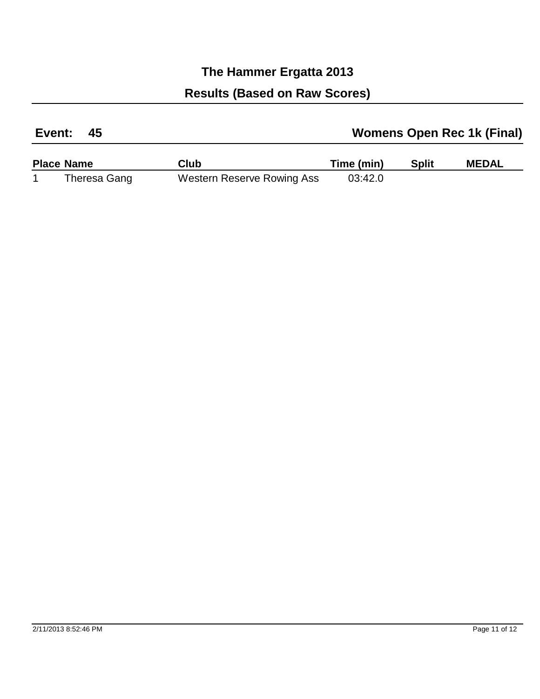| Event: | <b>Womens Open Rec 1k (Final)</b> |
|--------|-----------------------------------|
|        |                                   |

| <b>Place Name</b> | Club                       | Time (min) | <b>Split</b> | <b>MEDAL</b> |
|-------------------|----------------------------|------------|--------------|--------------|
| Theresa Gang      | Western Reserve Rowing Ass | 03:42.0    |              |              |